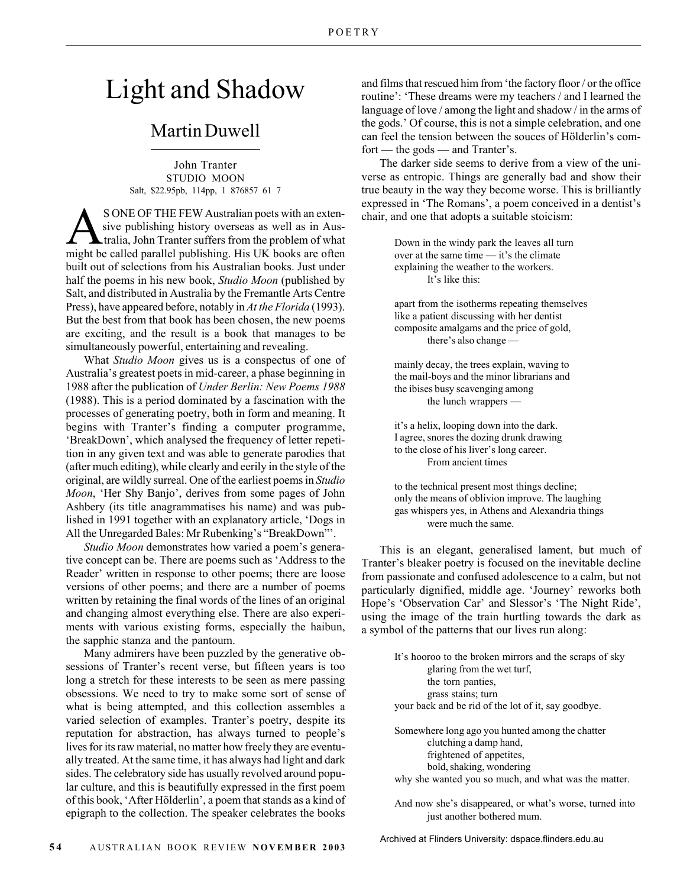## Light and Shadow

## Martin Duwell

John Tranter STUDIO MOON Salt, \$22.95pb, 114pp, 1 876857 61 7

S ONE OF THE FEW Australian poets with an exten-<br>tralia, John Tranter suffers from the problem of what<br>might be called parallel publishing. His LIK books are often sive publishing history overseas as well as in Aus might be called parallel publishing. His UK books are often built out of selections from his Australian books. Just under half the poems in his new book, *Studio Moon* (published by Salt, and distributed in Australia by the Fremantle Arts Centre Press), have appeared before, notably in *At the Florida* (1993). But the best from that book has been chosen, the new poems are exciting, and the result is a book that manages to be simultaneously powerful, entertaining and revealing.

What *Studio Moon* gives us is a conspectus of one of Australia's greatest poets in mid-career, a phase beginning in 1988 after the publication of *Under Berlin: New Poems 1988* (1988). This is a period dominated by a fascination with the processes of generating poetry, both in form and meaning. It begins with Tranter's finding a computer programme, 'BreakDown', which analysed the frequency of letter repetition in any given text and was able to generate parodies that (after much editing), while clearly and eerily in the style of the original, are wildly surreal. One of the earliest poems in *Studio Moon*, 'Her Shy Banjo', derives from some pages of John Ashbery (its title anagrammatises his name) and was published in 1991 together with an explanatory article, 'Dogs in All the Unregarded Bales: Mr Rubenking's "BreakDown"'.

*Studio Moon* demonstrates how varied a poem's generative concept can be. There are poems such as 'Address to the Reader' written in response to other poems; there are loose versions of other poems; and there are a number of poems written by retaining the final words of the lines of an original and changing almost everything else. There are also experiments with various existing forms, especially the haibun, the sapphic stanza and the pantoum.

Many admirers have been puzzled by the generative obsessions of Tranter's recent verse, but fifteen years is too long a stretch for these interests to be seen as mere passing obsessions. We need to try to make some sort of sense of what is being attempted, and this collection assembles a varied selection of examples. Tranter's poetry, despite its reputation for abstraction, has always turned to people's lives for its raw material, no matter how freely they are eventually treated. At the same time, it has always had light and dark sides. The celebratory side has usually revolved around popular culture, and this is beautifully expressed in the first poem of this book, 'After Hölderlin', a poem that stands as a kind of epigraph to the collection. The speaker celebrates the books and films that rescued him from 'the factory floor / or the office routine': 'These dreams were my teachers / and I learned the language of love / among the light and shadow / in the arms of the gods.' Of course, this is not a simple celebration, and one can feel the tension between the souces of Hölderlin's comfort — the gods — and Tranter's.

The darker side seems to derive from a view of the universe as entropic. Things are generally bad and show their true beauty in the way they become worse. This is brilliantly expressed in 'The Romans', a poem conceived in a dentist's chair, and one that adopts a suitable stoicism:

> Down in the windy park the leaves all turn over at the same time — it's the climate explaining the weather to the workers. It's like this:

apart from the isotherms repeating themselves like a patient discussing with her dentist composite amalgams and the price of gold, there's also change —

mainly decay, the trees explain, waving to the mail-boys and the minor librarians and the ibises busy scavenging among the lunch wrappers —

it's a helix, looping down into the dark. I agree, snores the dozing drunk drawing to the close of his liver's long career. From ancient times

to the technical present most things decline; only the means of oblivion improve. The laughing gas whispers yes, in Athens and Alexandria things were much the same.

This is an elegant, generalised lament, but much of Tranter's bleaker poetry is focused on the inevitable decline from passionate and confused adolescence to a calm, but not particularly dignified, middle age. 'Journey' reworks both Hope's 'Observation Car' and Slessor's 'The Night Ride', using the image of the train hurtling towards the dark as a symbol of the patterns that our lives run along:

> It's hooroo to the broken mirrors and the scraps of sky glaring from the wet turf, the torn panties, grass stains; turn your back and be rid of the lot of it, say goodbye.

Somewhere long ago you hunted among the chatter clutching a damp hand, frightened of appetites, bold, shaking, wondering why she wanted you so much, and what was the matter.

And now she's disappeared, or what's worse, turned into just another bothered mum.

Archived at Flinders University: dspace.flinders.edu.au